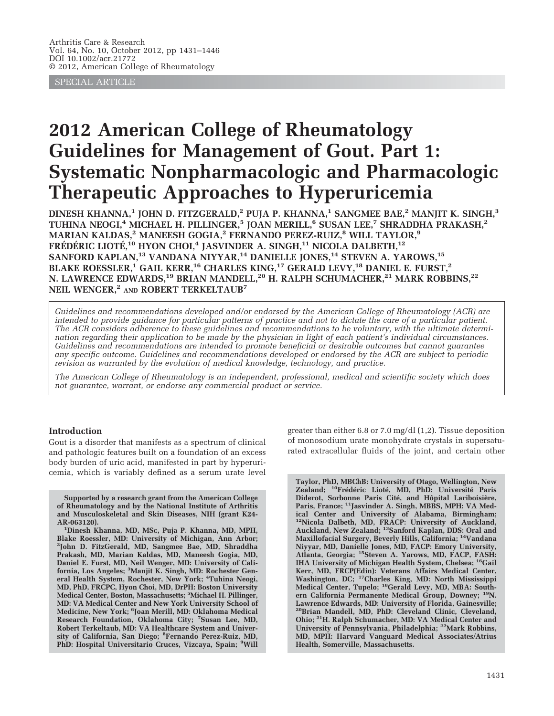SPECIAL ARTICLE

# **2012 American College of Rheumatology Guidelines for Management of Gout. Part 1: Systematic Nonpharmacologic and Pharmacologic Therapeutic Approaches to Hyperuricemia**

**DINESH KHANNA,1 JOHN D. FITZGERALD,2 PUJA P. KHANNA,1 SANGMEE BAE,2 MANJIT K. SINGH,3 TUHINA NEOGI,4 MICHAEL H. PILLINGER,5 JOAN MERILL,6 SUSAN LEE,7 SHRADDHA PRAKASH,2 MARIAN KALDAS,2 MANEESH GOGIA,2 FERNANDO PEREZ-RUIZ,8 WILL TAYLOR,9 FRE´DE´RIC LIOTE´, <sup>10</sup> HYON CHOI,4 JASVINDER A. SINGH,11 NICOLA DALBETH,12 SANFORD KAPLAN,13 VANDANA NIYYAR,14 DANIELLE JONES,14 STEVEN A. YAROWS,15 BLAKE ROESSLER,1 GAIL KERR,16 CHARLES KING,17 GERALD LEVY,18 DANIEL E. FURST,2 N. LAWRENCE EDWARDS,19 BRIAN MANDELL,20 H. RALPH SCHUMACHER,21 MARK ROBBINS,22 NEIL WENGER,2 AND ROBERT TERKELTAUB7**

*Guidelines and recommendations developed and/or endorsed by the American College of Rheumatology (ACR) are intended to provide guidance for particular patterns of practice and not to dictate the care of a particular patient. The ACR considers adherence to these guidelines and recommendations to be voluntary, with the ultimate determination regarding their application to be made by the physician in light of each patient's individual circumstances. Guidelines and recommendations are intended to promote beneficial or desirable outcomes but cannot guarantee any specific outcome. Guidelines and recommendations developed or endorsed by the ACR are subject to periodic revision as warranted by the evolution of medical knowledge, technology, and practice.*

*The American College of Rheumatology is an independent, professional, medical and scientific society which does not guarantee, warrant, or endorse any commercial product or service.*

### **Introduction**

Gout is a disorder that manifests as a spectrum of clinical and pathologic features built on a foundation of an excess body burden of uric acid, manifested in part by hyperuricemia, which is variably defined as a serum urate level

**Supported by a research grant from the American College of Rheumatology and by the National Institute of Arthritis and Musculoskeletal and Skin Diseases, NIH (grant K24- AR-063120). <sup>1</sup>**

**Dinesh Khanna, MD, MSc, Puja P. Khanna, MD, MPH, Blake Roessler, MD: University of Michigan, Ann Arbor; 2 John D. FitzGerald, MD, Sangmee Bae, MD, Shraddha Prakash, MD, Marian Kaldas, MD, Maneesh Gogia, MD, Daniel E. Furst, MD, Neil Wenger, MD: University of California, Los Angeles; <sup>3</sup> Manjit K. Singh, MD: Rochester General Health System, Rochester, New York; <sup>4</sup> Tuhina Neogi, MD, PhD, FRCPC, Hyon Choi, MD, DrPH: Boston University Medical Center, Boston, Massachusetts; <sup>5</sup> Michael H. Pillinger, MD: VA Medical Center and New York University School of Medicine, New York; <sup>6</sup> Joan Merill, MD: Oklahoma Medical Research Foundation, Oklahoma City; <sup>7</sup> Susan Lee, MD, Robert Terkeltaub, MD: VA Healthcare System and University of California, San Diego; <sup>8</sup> Fernando Perez-Ruiz, MD, PhD: Hospital Universitario Cruces, Vizcaya, Spain; <sup>9</sup> Will**

greater than either 6.8 or 7.0 mg/dl (1,2). Tissue deposition of monosodium urate monohydrate crystals in supersaturated extracellular fluids of the joint, and certain other

**Taylor, PhD, MBChB: University of Otago, Wellington, New** Zealand; <sup>10</sup>Frédéric Lioté, MD, PhD: Université Paris Diderot, Sorbonne Paris Cité, and Hôpital Lariboisière, **Paris, France; 11Jasvinder A. Singh, MBBS, MPH: VA Medical Center and University of Alabama, Birmingham; 12Nicola Dalbeth, MD, FRACP: University of Auckland, Auckland, New Zealand; 13Sanford Kaplan, DDS: Oral and Maxillofacial Surgery, Beverly Hills, California; 14Vandana Niyyar, MD, Danielle Jones, MD, FACP: Emory University, Atlanta, Georgia; 15Steven A. Yarows, MD, FACP, FASH: IHA University of Michigan Health System, Chelsea; 16Gail Kerr, MD, FRCP(Edin): Veterans Affairs Medical Center, Washington, DC; 17Charles King, MD: North Mississippi Medical Center, Tupelo; 18Gerald Levy, MD, MBA: Southern California Permanente Medical Group, Downey; 19N. Lawrence Edwards, MD: University of Florida, Gainesville; 20Brian Mandell, MD, PhD: Cleveland Clinic, Cleveland, Ohio; 21H. Ralph Schumacher, MD: VA Medical Center and University of Pennsylvania, Philadelphia; 22Mark Robbins, MD, MPH: Harvard Vanguard Medical Associates/Atrius Health, Somerville, Massachusetts.**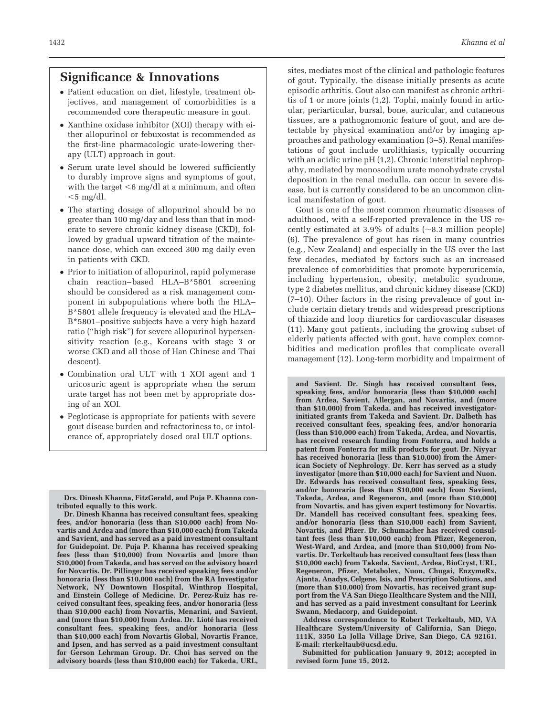### **Significance & Innovations**

- Patient education on diet, lifestyle, treatment objectives, and management of comorbidities is a recommended core therapeutic measure in gout.
- Xanthine oxidase inhibitor (XOI) therapy with either allopurinol or febuxostat is recommended as the first-line pharmacologic urate-lowering therapy (ULT) approach in gout.
- Serum urate level should be lowered sufficiently to durably improve signs and symptoms of gout, with the target  $\leq 6$  mg/dl at a minimum, and often  $<$ 5 mg/dl.
- The starting dosage of allopurinol should be no greater than 100 mg/day and less than that in moderate to severe chronic kidney disease (CKD), followed by gradual upward titration of the maintenance dose, which can exceed 300 mg daily even in patients with CKD.
- Prior to initiation of allopurinol, rapid polymerase chain reaction– based HLA–B\*5801 screening should be considered as a risk management component in subpopulations where both the HLA– B\*5801 allele frequency is elevated and the HLA– B\*5801–positive subjects have a very high hazard ratio ("high risk") for severe allopurinol hypersensitivity reaction (e.g., Koreans with stage 3 or worse CKD and all those of Han Chinese and Thai descent).
- Combination oral ULT with 1 XOI agent and 1 uricosuric agent is appropriate when the serum urate target has not been met by appropriate dosing of an XOI.
- Pegloticase is appropriate for patients with severe gout disease burden and refractoriness to, or intolerance of, appropriately dosed oral ULT options.

**Drs. Dinesh Khanna, FitzGerald, and Puja P. Khanna contributed equally to this work.**

**Dr. Dinesh Khanna has received consultant fees, speaking fees, and/or honoraria (less than \$10,000 each) from Novartis and Ardea and (more than \$10,000 each) from Takeda and Savient, and has served as a paid investment consultant for Guidepoint. Dr. Puja P. Khanna has received speaking fees (less than \$10,000) from Novartis and (more than \$10,000) from Takeda, and has served on the advisory board for Novartis. Dr. Pillinger has received speaking fees and/or honoraria (less than \$10,000 each) from the RA Investigator Network, NY Downtown Hospital, Winthrop Hospital, and Einstein College of Medicine. Dr. Perez-Ruiz has received consultant fees, speaking fees, and/or honoraria (less than \$10,000 each) from Novartis, Menarini, and Savient, and (more than \$10,000) from Ardea. Dr. Liote´ has received consultant fees, speaking fees, and/or honoraria (less than \$10,000 each) from Novartis Global, Novartis France, and Ipsen, and has served as a paid investment consultant for Gerson Lehrman Group. Dr. Choi has served on the advisory boards (less than \$10,000 each) for Takeda, URL,**

sites, mediates most of the clinical and pathologic features of gout. Typically, the disease initially presents as acute episodic arthritis. Gout also can manifest as chronic arthritis of 1 or more joints (1,2). Tophi, mainly found in articular, periarticular, bursal, bone, auricular, and cutaneous tissues, are a pathognomonic feature of gout, and are detectable by physical examination and/or by imaging approaches and pathology examination (3–5). Renal manifestations of gout include urolithiasis, typically occurring with an acidic urine pH (1,2). Chronic interstitial nephropathy, mediated by monosodium urate monohydrate crystal deposition in the renal medulla, can occur in severe disease, but is currently considered to be an uncommon clinical manifestation of gout.

Gout is one of the most common rheumatic diseases of adulthood, with a self-reported prevalence in the US recently estimated at  $3.9\%$  of adults ( $\sim 8.3$  million people) (6). The prevalence of gout has risen in many countries (e.g., New Zealand) and especially in the US over the last few decades, mediated by factors such as an increased prevalence of comorbidities that promote hyperuricemia, including hypertension, obesity, metabolic syndrome, type 2 diabetes mellitus, and chronic kidney disease (CKD) (7–10). Other factors in the rising prevalence of gout include certain dietary trends and widespread prescriptions of thiazide and loop diuretics for cardiovascular diseases (11). Many gout patients, including the growing subset of elderly patients affected with gout, have complex comorbidities and medication profiles that complicate overall management (12). Long-term morbidity and impairment of

**and Savient. Dr. Singh has received consultant fees, speaking fees, and/or honoraria (less than \$10,000 each) from Ardea, Savient, Allergan, and Novartis, and (more than \$10,000) from Takeda, and has received investigatorinitiated grants from Takeda and Savient. Dr. Dalbeth has received consultant fees, speaking fees, and/or honoraria (less than \$10,000 each) from Takeda, Ardea, and Novartis, has received research funding from Fonterra, and holds a patent from Fonterra for milk products for gout. Dr. Niyyar has received honoraria (less than \$10,000) from the American Society of Nephrology. Dr. Kerr has served as a study investigator (more than \$10,000 each) for Savient and Nuon. Dr. Edwards has received consultant fees, speaking fees, and/or honoraria (less than \$10,000 each) from Savient, Takeda, Ardea, and Regeneron, and (more than \$10,000) from Novartis, and has given expert testimony for Novartis. Dr. Mandell has received consultant fees, speaking fees, and/or honoraria (less than \$10,000 each) from Savient, Novartis, and Pfizer. Dr. Schumacher has received consultant fees (less than \$10,000 each) from Pfizer, Regeneron, West-Ward, and Ardea, and (more than \$10,000) from Novartis. Dr. Terkeltaub has received consultant fees (less than \$10,000 each) from Takeda, Savient, Ardea, BioCryst, URL, Regeneron, Pfizer, Metabolex, Nuon, Chugai, EnzymeRx, Ajanta, Anadys, Celgene, Isis, and Prescription Solutions, and (more than \$10,000) from Novartis, has received grant support from the VA San Diego Healthcare System and the NIH, and has served as a paid investment consultant for Leerink Swann, Medacorp, and Guidepoint.**

**Address correspondence to Robert Terkeltaub, MD, VA Healthcare System/University of California, San Diego, 111K, 3350 La Jolla Village Drive, San Diego, CA 92161. E-mail: rterkeltaub@ucsd.edu.**

**Submitted for publication January 9, 2012; accepted in revised form June 15, 2012.**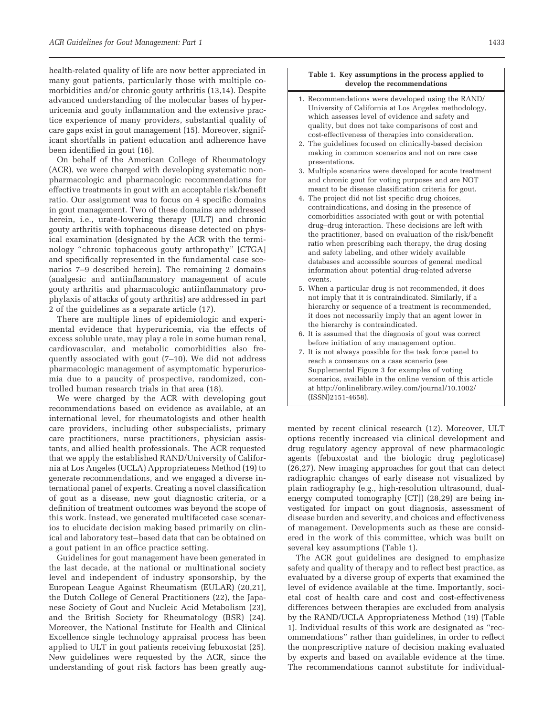health-related quality of life are now better appreciated in many gout patients, particularly those with multiple comorbidities and/or chronic gouty arthritis (13,14). Despite advanced understanding of the molecular bases of hyperuricemia and gouty inflammation and the extensive practice experience of many providers, substantial quality of care gaps exist in gout management (15). Moreover, significant shortfalls in patient education and adherence have been identified in gout (16).

On behalf of the American College of Rheumatology (ACR), we were charged with developing systematic nonpharmacologic and pharmacologic recommendations for effective treatments in gout with an acceptable risk/benefit ratio. Our assignment was to focus on 4 specific domains in gout management. Two of these domains are addressed herein, i.e., urate-lowering therapy (ULT) and chronic gouty arthritis with tophaceous disease detected on physical examination (designated by the ACR with the terminology "chronic tophaceous gouty arthropathy" [CTGA] and specifically represented in the fundamental case scenarios 7–9 described herein). The remaining 2 domains (analgesic and antiinflammatory management of acute gouty arthritis and pharmacologic antiinflammatory prophylaxis of attacks of gouty arthritis) are addressed in part 2 of the guidelines as a separate article (17).

There are multiple lines of epidemiologic and experimental evidence that hyperuricemia, via the effects of excess soluble urate, may play a role in some human renal, cardiovascular, and metabolic comorbidities also frequently associated with gout (7–10). We did not address pharmacologic management of asymptomatic hyperuricemia due to a paucity of prospective, randomized, controlled human research trials in that area (18).

We were charged by the ACR with developing gout recommendations based on evidence as available, at an international level, for rheumatologists and other health care providers, including other subspecialists, primary care practitioners, nurse practitioners, physician assistants, and allied health professionals. The ACR requested that we apply the established RAND/University of California at Los Angeles (UCLA) Appropriateness Method (19) to generate recommendations, and we engaged a diverse international panel of experts. Creating a novel classification of gout as a disease, new gout diagnostic criteria, or a definition of treatment outcomes was beyond the scope of this work. Instead, we generated multifaceted case scenarios to elucidate decision making based primarily on clinical and laboratory test– based data that can be obtained on a gout patient in an office practice setting.

Guidelines for gout management have been generated in the last decade, at the national or multinational society level and independent of industry sponsorship, by the European League Against Rheumatism (EULAR) (20,21), the Dutch College of General Practitioners (22), the Japanese Society of Gout and Nucleic Acid Metabolism (23), and the British Society for Rheumatology (BSR) (24). Moreover, the National Institute for Health and Clinical Excellence single technology appraisal process has been applied to ULT in gout patients receiving febuxostat (25). New guidelines were requested by the ACR, since the understanding of gout risk factors has been greatly aug-

### **Table 1. Key assumptions in the process applied to develop the recommendations**

- 1. Recommendations were developed using the RAND/ University of California at Los Angeles methodology, which assesses level of evidence and safety and quality, but does not take comparisons of cost and cost-effectiveness of therapies into consideration.
- 2. The guidelines focused on clinically-based decision making in common scenarios and not on rare case presentations.
- 3. Multiple scenarios were developed for acute treatment and chronic gout for voting purposes and are NOT meant to be disease classification criteria for gout.
- 4. The project did not list specific drug choices, contraindications, and dosing in the presence of comorbidities associated with gout or with potential drug–drug interaction. These decisions are left with the practitioner, based on evaluation of the risk/benefit ratio when prescribing each therapy, the drug dosing and safety labeling, and other widely available databases and accessible sources of general medical information about potential drug-related adverse events.
- 5. When a particular drug is not recommended, it does not imply that it is contraindicated. Similarly, if a hierarchy or sequence of a treatment is recommended, it does not necessarily imply that an agent lower in the hierarchy is contraindicated.
- 6. It is assumed that the diagnosis of gout was correct before initiation of any management option.
- 7. It is not always possible for the task force panel to reach a consensus on a case scenario (see Supplemental Figure 3 for examples of voting scenarios, available in the online version of this article at http://onlinelibrary.wiley.com/journal/10.1002/ (ISSN)2151-4658).

mented by recent clinical research (12). Moreover, ULT options recently increased via clinical development and drug regulatory agency approval of new pharmacologic agents (febuxostat and the biologic drug pegloticase) (26,27). New imaging approaches for gout that can detect radiographic changes of early disease not visualized by plain radiography (e.g., high-resolution ultrasound, dualenergy computed tomography [CT]) (28,29) are being investigated for impact on gout diagnosis, assessment of disease burden and severity, and choices and effectiveness of management. Developments such as these are considered in the work of this committee, which was built on several key assumptions (Table 1).

The ACR gout guidelines are designed to emphasize safety and quality of therapy and to reflect best practice, as evaluated by a diverse group of experts that examined the level of evidence available at the time. Importantly, societal cost of health care and cost and cost-effectiveness differences between therapies are excluded from analysis by the RAND/UCLA Appropriateness Method (19) (Table 1). Individual results of this work are designated as "recommendations" rather than guidelines, in order to reflect the nonprescriptive nature of decision making evaluated by experts and based on available evidence at the time. The recommendations cannot substitute for individual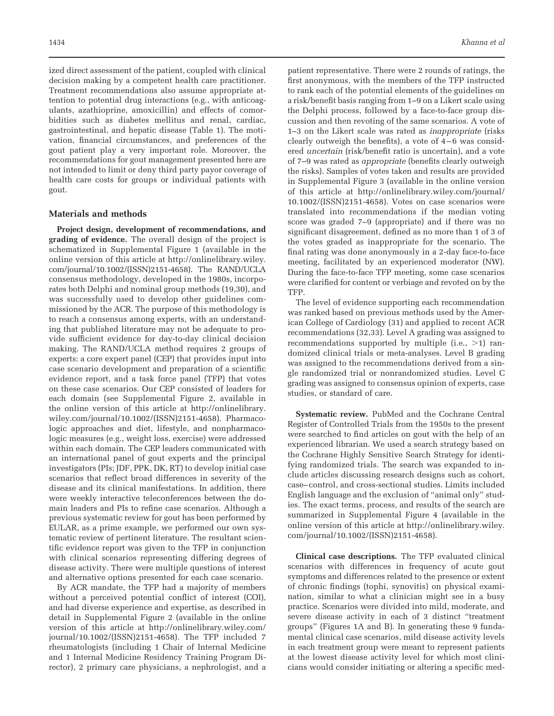ized direct assessment of the patient, coupled with clinical decision making by a competent health care practitioner. Treatment recommendations also assume appropriate attention to potential drug interactions (e.g., with anticoagulants, azathioprine, amoxicillin) and effects of comorbidities such as diabetes mellitus and renal, cardiac, gastrointestinal, and hepatic disease (Table 1). The motivation, financial circumstances, and preferences of the gout patient play a very important role. Moreover, the recommendations for gout management presented here are not intended to limit or deny third party payor coverage of health care costs for groups or individual patients with gout.

### **Materials and methods**

**Project design, development of recommendations, and grading of evidence.** The overall design of the project is schematized in Supplemental Figure 1 (available in the online version of this article at http://onlinelibrary.wiley. com/journal/10.1002/(ISSN)2151-4658). The RAND/UCLA consensus methodology, developed in the 1980s, incorporates both Delphi and nominal group methods (19,30), and was successfully used to develop other guidelines commissioned by the ACR. The purpose of this methodology is to reach a consensus among experts, with an understanding that published literature may not be adequate to provide sufficient evidence for day-to-day clinical decision making. The RAND/UCLA method requires 2 groups of experts: a core expert panel (CEP) that provides input into case scenario development and preparation of a scientific evidence report, and a task force panel (TFP) that votes on these case scenarios. Our CEP consisted of leaders for each domain (see Supplemental Figure 2, available in the online version of this article at http://onlinelibrary. wiley.com/journal/10.1002/(ISSN)2151-4658). Pharmacologic approaches and diet, lifestyle, and nonpharmacologic measures (e.g., weight loss, exercise) were addressed within each domain. The CEP leaders communicated with an international panel of gout experts and the principal investigators (PIs; JDF, PPK, DK, RT) to develop initial case scenarios that reflect broad differences in severity of the disease and its clinical manifestations. In addition, there were weekly interactive teleconferences between the domain leaders and PIs to refine case scenarios. Although a previous systematic review for gout has been performed by EULAR, as a prime example, we performed our own systematic review of pertinent literature. The resultant scientific evidence report was given to the TFP in conjunction with clinical scenarios representing differing degrees of disease activity. There were multiple questions of interest and alternative options presented for each case scenario.

By ACR mandate, the TFP had a majority of members without a perceived potential conflict of interest (COI), and had diverse experience and expertise, as described in detail in Supplemental Figure 2 (available in the online version of this article at http://onlinelibrary.wiley.com/ journal/10.1002/(ISSN)2151-4658). The TFP included 7 rheumatologists (including 1 Chair of Internal Medicine and 1 Internal Medicine Residency Training Program Director), 2 primary care physicians, a nephrologist, and a

patient representative. There were 2 rounds of ratings, the first anonymous, with the members of the TFP instructed to rank each of the potential elements of the guidelines on a risk/benefit basis ranging from 1–9 on a Likert scale using the Delphi process, followed by a face-to-face group discussion and then revoting of the same scenarios. A vote of 1–3 on the Likert scale was rated as *inappropriate* (risks clearly outweigh the benefits), a vote of  $4-6$  was considered *uncertain* (risk/benefit ratio is uncertain), and a vote of 7–9 was rated as *appropriate* (benefits clearly outweigh the risks). Samples of votes taken and results are provided in Supplemental Figure 3 (available in the online version of this article at http://onlinelibrary.wiley.com/journal/ 10.1002/(ISSN)2151-4658). Votes on case scenarios were translated into recommendations if the median voting score was graded 7–9 (appropriate) and if there was no significant disagreement, defined as no more than 1 of 3 of the votes graded as inappropriate for the scenario. The final rating was done anonymously in a 2-day face-to-face meeting, facilitated by an experienced moderator (NW). During the face-to-face TFP meeting, some case scenarios were clarified for content or verbiage and revoted on by the TFP.

The level of evidence supporting each recommendation was ranked based on previous methods used by the American College of Cardiology (31) and applied to recent ACR recommendations (32,33). Level A grading was assigned to recommendations supported by multiple (i.e.,  $>1$ ) randomized clinical trials or meta-analyses. Level B grading was assigned to the recommendations derived from a single randomized trial or nonrandomized studies. Level C grading was assigned to consensus opinion of experts, case studies, or standard of care.

**Systematic review.** PubMed and the Cochrane Central Register of Controlled Trials from the 1950s to the present were searched to find articles on gout with the help of an experienced librarian. We used a search strategy based on the Cochrane Highly Sensitive Search Strategy for identifying randomized trials. The search was expanded to include articles discussing research designs such as cohort, case– control, and cross-sectional studies. Limits included English language and the exclusion of "animal only" studies. The exact terms, process, and results of the search are summarized in Supplemental Figure 4 (available in the online version of this article at http://onlinelibrary.wiley. com/journal/10.1002/(ISSN)2151-4658).

**Clinical case descriptions.** The TFP evaluated clinical scenarios with differences in frequency of acute gout symptoms and differences related to the presence or extent of chronic findings (tophi, synovitis) on physical examination, similar to what a clinician might see in a busy practice. Scenarios were divided into mild, moderate, and severe disease activity in each of 3 distinct "treatment groups" (Figures 1A and B). In generating these 9 fundamental clinical case scenarios, mild disease activity levels in each treatment group were meant to represent patients at the lowest disease activity level for which most clinicians would consider initiating or altering a specific med-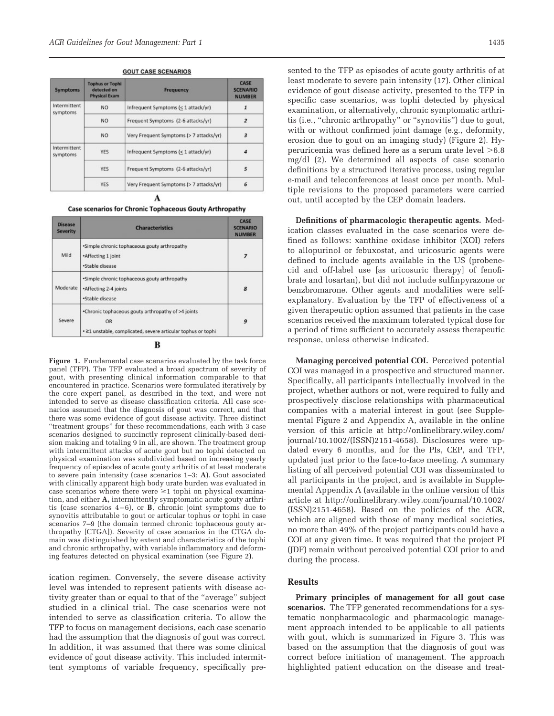| <b>Symptoms</b>          | <b>Tophus or Tophi</b><br>detected on<br><b>Physical Exam</b> | Frequency                               | CASE<br><b>SCENARIO</b><br><b>NUMBER</b> |
|--------------------------|---------------------------------------------------------------|-----------------------------------------|------------------------------------------|
| Intermittent<br>symptoms | NO.                                                           | Infrequent Symptoms (< 1 attack/yr)     |                                          |
|                          | <b>NO</b>                                                     | Frequent Symptoms (2-6 attacks/yr)      | 2                                        |
|                          | <b>NO</b>                                                     | Very Frequent Symptoms (> 7 attacks/yr) | з                                        |
| Intermittent<br>symptoms | <b>YES</b>                                                    | Infrequent Symptoms (< 1 attack/yr)     |                                          |
|                          | YES                                                           | Frequent Symptoms (2-6 attacks/yr)      | 5                                        |
|                          | <b>YES</b>                                                    | Very Frequent Symptoms (> 7 attacks/yr) | 6                                        |

**GOUT CASE SCENARIOS** 

#### Case scenarios for Chronic Tophaceous Gouty Arthropathy

| <b>Disease</b><br><b>Severity</b> | <b>Characteristics</b>                                                                                                          | CASE<br><b>SCENARIO</b><br><b>NUMBER</b> |
|-----------------------------------|---------------------------------------------------------------------------------------------------------------------------------|------------------------------------------|
| Mild                              | *Simple chronic tophaceous gouty arthropathy<br>*Affecting 1 joint<br>·Stable disease                                           | $\overline{z}$                           |
| Moderate                          | *Simple chronic tophaceous gouty arthropathy<br>*Affecting 2-4 joints<br>·Stable disease                                        | 8                                        |
| Severe                            | *Chronic tophaceous gouty arthropathy of >4 joints<br><b>OR</b><br>. ≥1 unstable, complicated, severe articular tophus or tophi | 9                                        |

### B

**Figure 1.** Fundamental case scenarios evaluated by the task force panel (TFP). The TFP evaluated a broad spectrum of severity of gout, with presenting clinical information comparable to that encountered in practice. Scenarios were formulated iteratively by the core expert panel, as described in the text, and were not intended to serve as disease classification criteria. All case scenarios assumed that the diagnosis of gout was correct, and that there was some evidence of gout disease activity. Three distinct "treatment groups" for these recommendations, each with 3 case scenarios designed to succinctly represent clinically-based decision making and totaling 9 in all, are shown. The treatment group with intermittent attacks of acute gout but no tophi detected on physical examination was subdivided based on increasing yearly frequency of episodes of acute gouty arthritis of at least moderate to severe pain intensity (case scenarios 1–3; **A**). Gout associated with clinically apparent high body urate burden was evaluated in case scenarios where there were  $\geq 1$  tophi on physical examination, and either **A,** intermittently symptomatic acute gouty arthritis (case scenarios  $4-6$ ), or **B**, chronic joint symptoms due to synovitis attributable to gout or articular tophus or tophi in case scenarios 7–9 (the domain termed chronic tophaceous gouty arthropathy [CTGA]). Severity of case scenarios in the CTGA domain was distinguished by extent and characteristics of the tophi and chronic arthropathy, with variable inflammatory and deforming features detected on physical examination (see Figure 2).

ication regimen. Conversely, the severe disease activity level was intended to represent patients with disease activity greater than or equal to that of the "average" subject studied in a clinical trial. The case scenarios were not intended to serve as classification criteria. To allow the TFP to focus on management decisions, each case scenario had the assumption that the diagnosis of gout was correct. In addition, it was assumed that there was some clinical evidence of gout disease activity. This included intermittent symptoms of variable frequency, specifically pre-

sented to the TFP as episodes of acute gouty arthritis of at least moderate to severe pain intensity (17). Other clinical evidence of gout disease activity, presented to the TFP in specific case scenarios, was tophi detected by physical examination, or alternatively, chronic symptomatic arthritis (i.e., "chronic arthropathy" or "synovitis") due to gout, with or without confirmed joint damage (e.g., deformity, erosion due to gout on an imaging study) (Figure 2). Hyperuricemia was defined here as a serum urate level  $>6.8$ mg/dl (2). We determined all aspects of case scenario definitions by a structured iterative process, using regular e-mail and teleconferences at least once per month. Multiple revisions to the proposed parameters were carried out, until accepted by the CEP domain leaders.

**Definitions of pharmacologic therapeutic agents.** Medication classes evaluated in the case scenarios were defined as follows: xanthine oxidase inhibitor (XOI) refers to allopurinol or febuxostat, and uricosuric agents were defined to include agents available in the US (probenecid and off-label use [as uricosuric therapy] of fenofibrate and losartan), but did not include sulfinpyrazone or benzbromarone. Other agents and modalities were selfexplanatory. Evaluation by the TFP of effectiveness of a given therapeutic option assumed that patients in the case scenarios received the maximum tolerated typical dose for a period of time sufficient to accurately assess therapeutic response, unless otherwise indicated.

**Managing perceived potential COI.** Perceived potential COI was managed in a prospective and structured manner. Specifically, all participants intellectually involved in the project, whether authors or not, were required to fully and prospectively disclose relationships with pharmaceutical companies with a material interest in gout (see Supplemental Figure 2 and Appendix A, available in the online version of this article at http://onlinelibrary.wiley.com/ journal/10.1002/(ISSN)2151-4658). Disclosures were updated every 6 months, and for the PIs, CEP, and TFP, updated just prior to the face-to-face meeting. A summary listing of all perceived potential COI was disseminated to all participants in the project, and is available in Supplemental Appendix A (available in the online version of this article at http://onlinelibrary.wiley.com/journal/10.1002/ (ISSN)2151-4658). Based on the policies of the ACR, which are aligned with those of many medical societies, no more than 49% of the project participants could have a COI at any given time. It was required that the project PI (JDF) remain without perceived potential COI prior to and during the process.

### **Results**

**Primary principles of management for all gout case scenarios.** The TFP generated recommendations for a systematic nonpharmacologic and pharmacologic management approach intended to be applicable to all patients with gout, which is summarized in Figure 3. This was based on the assumption that the diagnosis of gout was correct before initiation of management. The approach highlighted patient education on the disease and treat-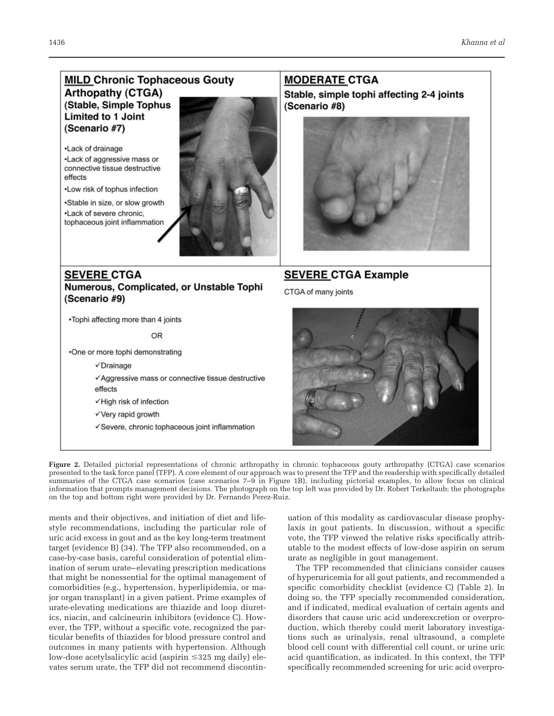## **MILD Chronic Tophaceous Gouty Arthopathy (CTGA)** (Stable, Simple Tophus (Scenario #8) **Limited to 1 Joint** (Scenario #7) ·Lack of drainage .Lack of aggressive mass or connective tissue destructive effects •Low risk of tophus infection •Stable in size, or slow growth ·Lack of severe chronic, tophaceous joint inflammation **SEVERE CTGA** Numerous, Complicated, or Unstable Tophi CTGA of many joints (Scenario #9) •Tophi affecting more than 4 joints OR •One or more tophi demonstrating √Drainage √Aggressive mass or connective tissue destructive effects √High risk of infection √Very rapid growth √Severe, chronic tophaceous joint inflammation

<u>MODERATE CTGA</u>

Stable, simple tophi affecting 2-4 joints



**SEVERE CTGA Example** 



**Figure 2.** Detailed pictorial representations of chronic arthropathy in chronic tophaceous gouty arthropathy (CTGA) case scenarios presented to the task force panel (TFP). A core element of our approach was to present the TFP and the readership with specifically detailed summaries of the CTGA case scenarios (case scenarios 7–9 in Figure 1B), including pictorial examples, to allow focus on clinical information that prompts management decisions. The photograph on the top left was provided by Dr. Robert Terkeltaub; the photographs on the top and bottom right were provided by Dr. Fernando Perez-Ruiz.

ments and their objectives, and initiation of diet and lifestyle recommendations, including the particular role of uric acid excess in gout and as the key long-term treatment target (evidence B) (34). The TFP also recommended, on a case-by-case basis, careful consideration of potential elimination of serum urate– elevating prescription medications that might be nonessential for the optimal management of comorbidities (e.g., hypertension, hyperlipidemia, or major organ transplant) in a given patient. Prime examples of urate-elevating medications are thiazide and loop diuretics, niacin, and calcineurin inhibitors (evidence C). However, the TFP, without a specific vote, recognized the particular benefits of thiazides for blood pressure control and outcomes in many patients with hypertension. Although low-dose acetylsalicylic acid (aspirin ≤325 mg daily) elevates serum urate, the TFP did not recommend discontin-

uation of this modality as cardiovascular disease prophylaxis in gout patients. In discussion, without a specific vote, the TFP viewed the relative risks specifically attributable to the modest effects of low-dose aspirin on serum urate as negligible in gout management.

The TFP recommended that clinicians consider causes of hyperuricemia for all gout patients, and recommended a specific comorbidity checklist (evidence C) (Table 2). In doing so, the TFP specially recommended consideration, and if indicated, medical evaluation of certain agents and disorders that cause uric acid underexcretion or overproduction, which thereby could merit laboratory investigations such as urinalysis, renal ultrasound, a complete blood cell count with differential cell count, or urine uric acid quantification, as indicated. In this context, the TFP specifically recommended screening for uric acid overpro-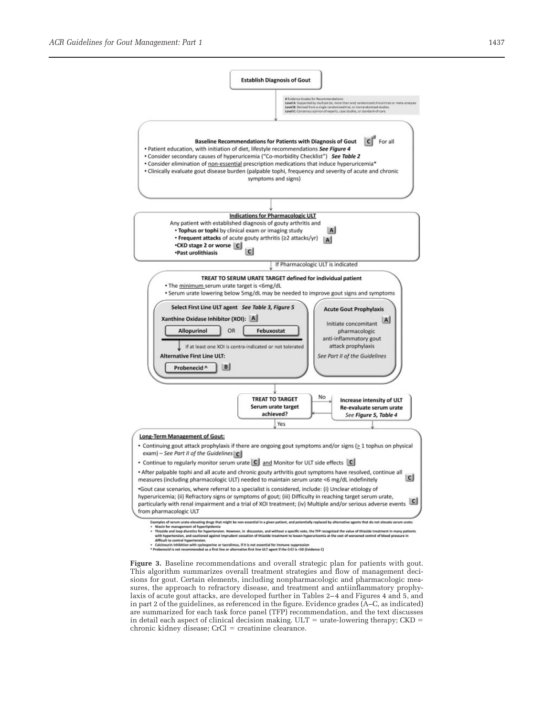

**Figure 3.** Baseline recommendations and overall strategic plan for patients with gout. This algorithm summarizes overall treatment strategies and flow of management decisions for gout. Certain elements, including nonpharmacologic and pharmacologic measures, the approach to refractory disease, and treatment and antiinflammatory prophylaxis of acute gout attacks, are developed further in Tables 2– 4 and Figures 4 and 5, and in part 2 of the guidelines, as referenced in the figure. Evidence grades (A–C, as indicated) are summarized for each task force panel (TFP) recommendation, and the text discusses in detail each aspect of clinical decision making.  $ULT =$  urate-lowering therapy;  $CKD =$  $\alpha$ chronic kidney disease;  $\text{CrCl} = \text{c}$ reatinine clearance.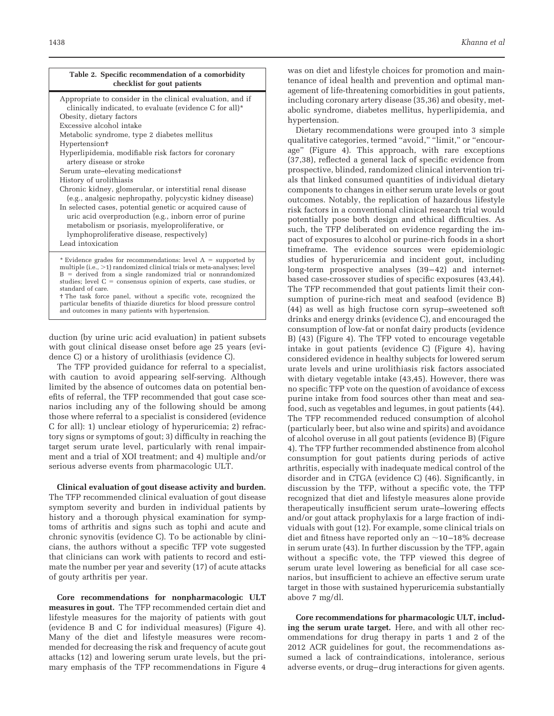| Table 2. Specific recommendation of a comorbidity |
|---------------------------------------------------|
| checklist for gout patients                       |

| Appropriate to consider in the clinical evaluation, and if<br>clinically indicated, to evaluate (evidence C for all)*<br>Obesity, dietary factors<br>Excessive alcohol intake<br>Metabolic syndrome, type 2 diabetes mellitus<br>Hypertension+<br>Hyperlipidemia, modifiable risk factors for coronary<br>artery disease or stroke<br>Serum urate-elevating medications+<br>History of urolithiasis<br>Chronic kidney, glomerular, or interstitial renal disease<br>(e.g., analgesic nephropathy, polycystic kidney disease)<br>In selected cases, potential genetic or acquired cause of<br>uric acid overproduction (e.g., inborn error of purine<br>metabolism or psoriasis, myeloproliferative, or<br>lymphoproliferative disease, respectively)<br>Lead intoxication |
|---------------------------------------------------------------------------------------------------------------------------------------------------------------------------------------------------------------------------------------------------------------------------------------------------------------------------------------------------------------------------------------------------------------------------------------------------------------------------------------------------------------------------------------------------------------------------------------------------------------------------------------------------------------------------------------------------------------------------------------------------------------------------|
| * Evidence grades for recommendations: level $A =$ supported by<br>multiple (i.e., $>1$ ) randomized clinical trials or meta-analyses; level                                                                                                                                                                                                                                                                                                                                                                                                                                                                                                                                                                                                                              |
| $B =$ derived from a single randomized trial or nonrandomized                                                                                                                                                                                                                                                                                                                                                                                                                                                                                                                                                                                                                                                                                                             |

studies; level C consensus opinion of experts, case studies, or standard of care. † The task force panel, without a specific vote, recognized the

particular benefits of thiazide diuretics for blood pressure control and outcomes in many patients with hypertension.

duction (by urine uric acid evaluation) in patient subsets with gout clinical disease onset before age 25 years (evidence C) or a history of urolithiasis (evidence C).

The TFP provided guidance for referral to a specialist, with caution to avoid appearing self-serving. Although limited by the absence of outcomes data on potential benefits of referral, the TFP recommended that gout case scenarios including any of the following should be among those where referral to a specialist is considered (evidence C for all): 1) unclear etiology of hyperuricemia; 2) refractory signs or symptoms of gout; 3) difficulty in reaching the target serum urate level, particularly with renal impairment and a trial of XOI treatment; and 4) multiple and/or serious adverse events from pharmacologic ULT.

**Clinical evaluation of gout disease activity and burden.** The TFP recommended clinical evaluation of gout disease symptom severity and burden in individual patients by history and a thorough physical examination for symptoms of arthritis and signs such as tophi and acute and chronic synovitis (evidence C). To be actionable by clinicians, the authors without a specific TFP vote suggested that clinicians can work with patients to record and estimate the number per year and severity (17) of acute attacks of gouty arthritis per year.

**Core recommendations for nonpharmacologic ULT measures in gout.** The TFP recommended certain diet and lifestyle measures for the majority of patients with gout (evidence B and C for individual measures) (Figure 4). Many of the diet and lifestyle measures were recommended for decreasing the risk and frequency of acute gout attacks (12) and lowering serum urate levels, but the primary emphasis of the TFP recommendations in Figure 4

was on diet and lifestyle choices for promotion and maintenance of ideal health and prevention and optimal management of life-threatening comorbidities in gout patients, including coronary artery disease (35,36) and obesity, metabolic syndrome, diabetes mellitus, hyperlipidemia, and hypertension.

Dietary recommendations were grouped into 3 simple qualitative categories, termed "avoid," "limit," or "encourage" (Figure 4). This approach, with rare exceptions (37,38), reflected a general lack of specific evidence from prospective, blinded, randomized clinical intervention trials that linked consumed quantities of individual dietary components to changes in either serum urate levels or gout outcomes. Notably, the replication of hazardous lifestyle risk factors in a conventional clinical research trial would potentially pose both design and ethical difficulties. As such, the TFP deliberated on evidence regarding the impact of exposures to alcohol or purine-rich foods in a short timeframe. The evidence sources were epidemiologic studies of hyperuricemia and incident gout, including long-term prospective analyses (39–42) and internetbased case-crossover studies of specific exposures (43,44). The TFP recommended that gout patients limit their consumption of purine-rich meat and seafood (evidence B) (44) as well as high fructose corn syrup–sweetened soft drinks and energy drinks (evidence C), and encouraged the consumption of low-fat or nonfat dairy products (evidence B) (43) (Figure 4). The TFP voted to encourage vegetable intake in gout patients (evidence C) (Figure 4), having considered evidence in healthy subjects for lowered serum urate levels and urine urolithiasis risk factors associated with dietary vegetable intake (43,45). However, there was no specific TFP vote on the question of avoidance of excess purine intake from food sources other than meat and seafood, such as vegetables and legumes, in gout patients (44). The TFP recommended reduced consumption of alcohol (particularly beer, but also wine and spirits) and avoidance of alcohol overuse in all gout patients (evidence B) (Figure 4). The TFP further recommended abstinence from alcohol consumption for gout patients during periods of active arthritis, especially with inadequate medical control of the disorder and in CTGA (evidence C) (46). Significantly, in discussion by the TFP, without a specific vote, the TFP recognized that diet and lifestyle measures alone provide therapeutically insufficient serum urate–lowering effects and/or gout attack prophylaxis for a large fraction of individuals with gout (12). For example, some clinical trials on diet and fitness have reported only an  $\sim$ 10-18% decrease in serum urate (43). In further discussion by the TFP, again without a specific vote, the TFP viewed this degree of serum urate level lowering as beneficial for all case scenarios, but insufficient to achieve an effective serum urate target in those with sustained hyperuricemia substantially above 7 mg/dl.

**Core recommendations for pharmacologic ULT, including the serum urate target.** Here, and with all other recommendations for drug therapy in parts 1 and 2 of the 2012 ACR guidelines for gout, the recommendations assumed a lack of contraindications, intolerance, serious adverse events, or drug–drug interactions for given agents.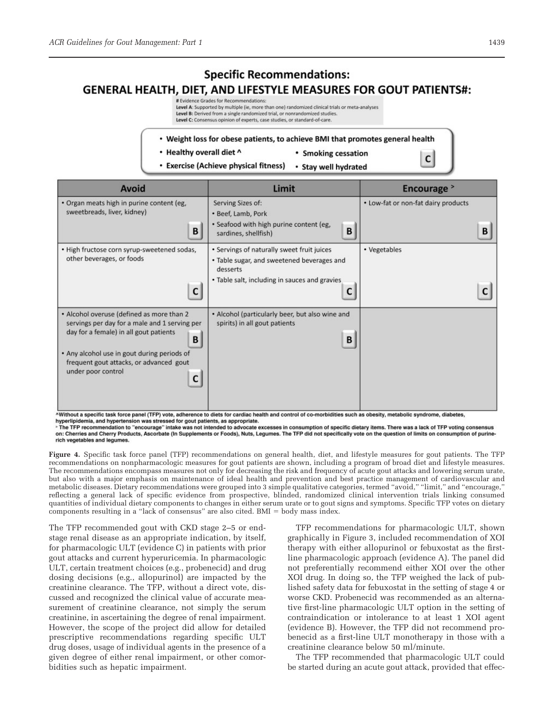### **Specific Recommendations:** GENERAL HEALTH, DIET, AND LIFESTYLE MEASURES FOR GOUT PATIENTS#: # Evidence Grades for Recommendations:

Level A: Supported by multiple (ie, more than one) randomized clinical trials or meta-analyses Level B: Derived from a single randomized trial, or nonrandomized studies Level C: Consensus opinion of experts, case studies, or standard-of-care.

| • Weight loss for obese patients, to achieve BMI that promotes general health |  |  |  |
|-------------------------------------------------------------------------------|--|--|--|
|                                                                               |  |  |  |

• Healthy overall diet ^ • Smoking cessation • Exercise (Achieve physical fitness) • Stay well hydrated

| <b>Avoid</b>                                                                                                                                                                                                                                              | Limit                                                                                                                                                      | Encourage >                              |
|-----------------------------------------------------------------------------------------------------------------------------------------------------------------------------------------------------------------------------------------------------------|------------------------------------------------------------------------------------------------------------------------------------------------------------|------------------------------------------|
| • Organ meats high in purine content (eg,<br>sweetbreads, liver, kidney)<br>B                                                                                                                                                                             | Serving Sizes of:<br>• Beef, Lamb, Pork<br>· Seafood with high purine content (eg,<br>B<br>sardines, shellfish)                                            | • Low-fat or non-fat dairy products<br>B |
| • High fructose corn syrup-sweetened sodas,<br>other beverages, or foods<br>C                                                                                                                                                                             | • Servings of naturally sweet fruit juices<br>• Table sugar, and sweetened beverages and<br>desserts<br>• Table salt, including in sauces and gravies<br>C | • Vegetables                             |
| • Alcohol overuse (defined as more than 2<br>servings per day for a male and 1 serving per<br>day for a female) in all gout patients<br>B<br>• Any alcohol use in gout during periods of<br>frequent gout attacks, or advanced gout<br>under poor control | • Alcohol (particularly beer, but also wine and<br>spirits) in all gout patients<br>B                                                                      |                                          |

^Without a specific task force panel (TFP) vote, adherence to diets for cardiac health and control of co-morbidities such as obesity, metabolic syndrome, diabetes, hyperlipidemia, and hypertension was stressed for gout patients, as appropriate.

The TFP recommendation to "encourage" intake was not intended to advocate excesses in consumption of specific dietary items. There was a lack of TFP voting consensus on: Cherries and Cherry Products, Ascorbate (In Supplements or Foods), Nuts, Legumes. The TFP did not specifically vote on the question of limits on consumption of purinerich vegetables and legumes.

**Figure 4.** Specific task force panel (TFP) recommendations on general health, diet, and lifestyle measures for gout patients. The TFP recommendations on nonpharmacologic measures for gout patients are shown, including a program of broad diet and lifestyle measures. The recommendations encompass measures not only for decreasing the risk and frequency of acute gout attacks and lowering serum urate, but also with a major emphasis on maintenance of ideal health and prevention and best practice management of cardiovascular and metabolic diseases. Dietary recommendations were grouped into 3 simple qualitative categories, termed "avoid," "limit," and "encourage," reflecting a general lack of specific evidence from prospective, blinded, randomized clinical intervention trials linking consumed quantities of individual dietary components to changes in either serum urate or to gout signs and symptoms. Specific TFP votes on dietary components resulting in a "lack of consensus" are also cited.  $BMI = body$  mass index.

The TFP recommended gout with CKD stage 2–5 or endstage renal disease as an appropriate indication, by itself, for pharmacologic ULT (evidence C) in patients with prior gout attacks and current hyperuricemia. In pharmacologic ULT, certain treatment choices (e.g., probenecid) and drug dosing decisions (e.g., allopurinol) are impacted by the creatinine clearance. The TFP, without a direct vote, discussed and recognized the clinical value of accurate measurement of creatinine clearance, not simply the serum creatinine, in ascertaining the degree of renal impairment. However, the scope of the project did allow for detailed prescriptive recommendations regarding specific ULT drug doses, usage of individual agents in the presence of a given degree of either renal impairment, or other comorbidities such as hepatic impairment.

TFP recommendations for pharmacologic ULT, shown graphically in Figure 3, included recommendation of XOI therapy with either allopurinol or febuxostat as the firstline pharmacologic approach (evidence A). The panel did not preferentially recommend either XOI over the other XOI drug. In doing so, the TFP weighed the lack of published safety data for febuxostat in the setting of stage 4 or worse CKD. Probenecid was recommended as an alternative first-line pharmacologic ULT option in the setting of contraindication or intolerance to at least 1 XOI agent (evidence B). However, the TFP did not recommend probenecid as a first-line ULT monotherapy in those with a creatinine clearance below 50 ml/minute.

The TFP recommended that pharmacologic ULT could be started during an acute gout attack, provided that effec-

C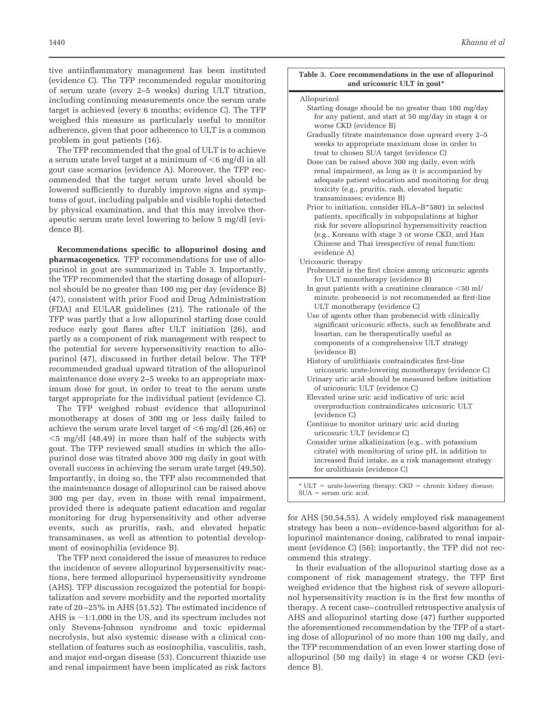tive antiinflammatory management has been instituted (evidence C). The TFP recommended regular monitoring of serum urate (every 2–5 weeks) during ULT titration, including continuing measurements once the serum urate target is achieved (every 6 months; evidence C). The TFP weighed this measure as particularly useful to monitor adherence, given that poor adherence to ULT is a common problem in gout patients (16).

The TFP recommended that the goal of ULT is to achieve a serum urate level target at a minimum of  $<$ 6 mg/dl in all gout case scenarios (evidence A). Moreover, the TFP recommended that the target serum urate level should be lowered sufficiently to durably improve signs and symptoms of gout, including palpable and visible tophi detected by physical examination, and that this may involve therapeutic serum urate level lowering to below 5 mg/dl (evidence B).

**Recommendations specific to allopurinol dosing and pharmacogenetics.** TFP recommendations for use of allopurinol in gout are summarized in Table 3. Importantly, the TFP recommended that the starting dosage of allopurinol should be no greater than 100 mg per day (evidence B) (47), consistent with prior Food and Drug Administration (FDA) and EULAR guidelines (21). The rationale of the TFP was partly that a low allopurinol starting dose could reduce early gout flares after ULT initiation (26), and partly as a component of risk management with respect to the potential for severe hypersensitivity reaction to allopurinol (47), discussed in further detail below. The TFP recommended gradual upward titration of the allopurinol maintenance dose every 2–5 weeks to an appropriate maximum dose for gout, in order to treat to the serum urate target appropriate for the individual patient (evidence C).

The TFP weighed robust evidence that allopurinol monotherapy at doses of 300 mg or less daily failed to achieve the serum urate level target of  $<$ 6 mg/dl (26,46) or -5 mg/dl (48,49) in more than half of the subjects with gout. The TFP reviewed small studies in which the allopurinol dose was titrated above 300 mg daily in gout with overall success in achieving the serum urate target (49,50). Importantly, in doing so, the TFP also recommended that the maintenance dosage of allopurinol can be raised above 300 mg per day, even in those with renal impairment, provided there is adequate patient education and regular monitoring for drug hypersensitivity and other adverse events, such as pruritis, rash, and elevated hepatic transaminases, as well as attention to potential development of eosinophilia (evidence B).

The TFP next considered the issue of measures to reduce the incidence of severe allopurinol hypersensitivity reactions, here termed allopurinol hypersensitivity syndrome (AHS). TFP discussion recognized the potential for hospitalization and severe morbidity and the reported mortality rate of 20 –25% in AHS (51,52). The estimated incidence of AHS is  $\sim$ 1:1,000 in the US, and its spectrum includes not only Stevens-Johnson syndrome and toxic epidermal necrolysis, but also systemic disease with a clinical constellation of features such as eosinophilia, vasculitis, rash, and major end-organ disease (53). Concurrent thiazide use and renal impairment have been implicated as risk factors

### **Table 3. Core recommendations in the use of allopurinol and uricosuric ULT in gout\***

#### Allopurinol

- Starting dosage should be no greater than 100 mg/day for any patient, and start at 50 mg/day in stage 4 or worse CKD (evidence B)
- Gradually titrate maintenance dose upward every 2–5 weeks to appropriate maximum dose in order to treat to chosen SUA target (evidence C)
- Dose can be raised above 300 mg daily, even with renal impairment, as long as it is accompanied by adequate patient education and monitoring for drug toxicity (e.g., pruritis, rash, elevated hepatic transaminases; evidence B)
- Prior to initiation, consider HLA–B\*5801 in selected patients, specifically in subpopulations at higher risk for severe allopurinol hypersensitivity reaction (e.g., Koreans with stage 3 or worse CKD, and Han Chinese and Thai irrespective of renal function; evidence A)

Uricosuric therapy

- Probenecid is the first choice among uricosuric agents for ULT monotherapy (evidence B)
- In gout patients with a creatinine clearance  $<$  50 ml/ minute, probenecid is not recommended as first-line ULT monotherapy (evidence C)
- Use of agents other than probenecid with clinically significant uricosuric effects, such as fenofibrate and losartan, can be therapeutically useful as components of a comprehensive ULT strategy (evidence B)
- History of urolithiasis contraindicates first-line uricosuric urate-lowering monotherapy (evidence C) Urinary uric acid should be measured before initiation
- of uricosuric ULT (evidence C) Elevated urine uric acid indicative of uric acid overproduction contraindicates uricosuric ULT (evidence C)
- Continue to monitor urinary uric acid during uricosuric ULT (evidence C)
- Consider urine alkalinization (e.g., with potassium citrate) with monitoring of urine pH, in addition to increased fluid intake, as a risk management strategy for urolithiasis (evidence C)

 $*$  ULT = urate-lowering therapy; CKD = chronic kidney disease;  $SUA =$  serum uric acid.

for AHS (50,54,55). A widely employed risk management strategy has been a non– evidence-based algorithm for allopurinol maintenance dosing, calibrated to renal impairment (evidence C) (56); importantly, the TFP did not recommend this strategy.

In their evaluation of the allopurinol starting dose as a component of risk management strategy, the TFP first weighed evidence that the highest risk of severe allopurinol hypersensitivity reaction is in the first few months of therapy. A recent case– controlled retrospective analysis of AHS and allopurinol starting dose (47) further supported the aforementioned recommendation by the TFP of a starting dose of allopurinol of no more than 100 mg daily, and the TFP recommendation of an even lower starting dose of allopurinol (50 mg daily) in stage 4 or worse CKD (evidence B).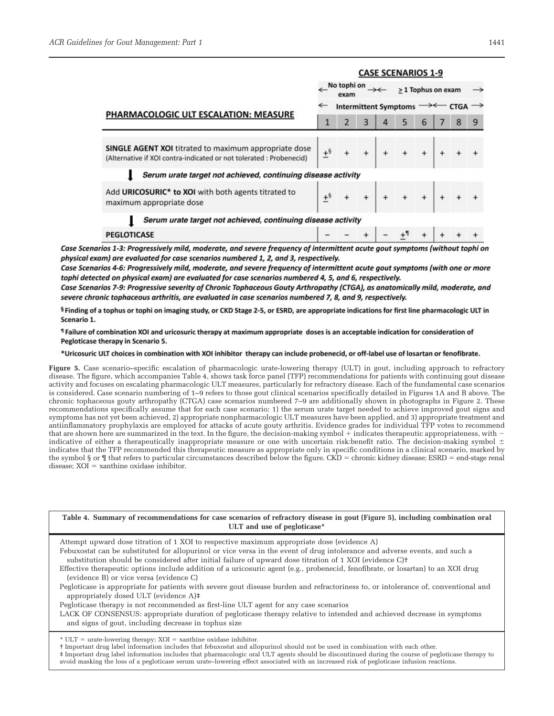|                                                                                                                                     | <b>CASE SCENARIOS 1-9</b> |                                              |   |  |                                             |   |  |   |               |
|-------------------------------------------------------------------------------------------------------------------------------------|---------------------------|----------------------------------------------|---|--|---------------------------------------------|---|--|---|---------------|
|                                                                                                                                     | No tophi on<br>exam       |                                              |   |  | $\rightarrow \leftarrow$ > 1 Tophus on exam |   |  |   | $\rightarrow$ |
|                                                                                                                                     | ←                         | Intermittent Symptoms $\longrightarrow$ CTGA |   |  |                                             |   |  |   |               |
| <b>PHARMACOLOGIC ULT ESCALATION: MEASURE</b>                                                                                        | 1                         |                                              | 3 |  |                                             | 6 |  | 8 | 9             |
| <b>SINGLE AGENT XOI</b> titrated to maximum appropriate dose<br>(Alternative if XOI contra-indicated or not tolerated : Probenecid) | $+$ <sup>§</sup>          |                                              |   |  |                                             |   |  |   |               |
| Serum urate target not achieved, continuing disease activity                                                                        |                           |                                              |   |  |                                             |   |  |   |               |
| Add URICOSURIC <sup>*</sup> to XOI with both agents titrated to<br>maximum appropriate dose                                         | $+$ §                     |                                              |   |  |                                             |   |  |   |               |
| Serum urate target not achieved, continuing disease activity                                                                        |                           |                                              |   |  |                                             |   |  |   |               |
| <b>PEGLOTICASE</b>                                                                                                                  |                           |                                              |   |  |                                             |   |  |   |               |

Case Scenarios 1-3: Progressively mild, moderate, and severe frequency of intermittent acute gout symptoms (without tophi on physical exam) are evaluated for case scenarios numbered 1, 2, and 3, respectively.

Case Scenarios 4-6: Progressively mild, moderate, and severe frequency of intermittent acute gout symptoms (with one or more tophi detected on physical exam) are evaluated for case scenarios numbered 4, 5, and 6, respectively.

Case Scenarios 7-9: Progressive severity of Chronic Tophaceous Gouty Arthropathy (CTGA), as anatomically mild, moderate, and severe chronic tophaceous arthritis, are evaluated in case scenarios numbered 7, 8, and 9, respectively.

§ Finding of a tophus or tophi on imaging study, or CKD Stage 2-5, or ESRD, are appropriate indications for first line pharmacologic ULT in Scenario 1.

<sup>1</sup> Failure of combination XOI and uricosuric therapy at maximum appropriate doses is an acceptable indication for consideration of Pegloticase therapy in Scenario 5.

\*Uricosuric ULT choices in combination with XOI inhibitor therapy can include probenecid, or off-label use of losartan or fenofibrate.

**Figure 5.** Case scenario–specific escalation of pharmacologic urate-lowering therapy (ULT) in gout, including approach to refractory disease. The figure, which accompanies Table 4, shows task force panel (TFP) recommendations for patients with continuing gout disease activity and focuses on escalating pharmacologic ULT measures, particularly for refractory disease. Each of the fundamental case scenarios is considered. Case scenario numbering of 1–9 refers to those gout clinical scenarios specifically detailed in Figures 1A and B above. The chronic tophaceous gouty arthropathy (CTGA) case scenarios numbered 7–9 are additionally shown in photographs in Figure 2. These recommendations specifically assume that for each case scenario: 1) the serum urate target needed to achieve improved gout signs and symptoms has not yet been achieved, 2) appropriate nonpharmacologic ULT measures have been applied, and 3) appropriate treatment and antiinflammatory prophylaxis are employed for attacks of acute gouty arthritis. Evidence grades for individual TFP votes to recommend that are shown here are summarized in the text. In the figure, the decision-making symbol  $+$  indicates therapeutic appropriateness, with  $$ indicative of either a therapeutically inappropriate measure or one with uncertain risk:benefit ratio. The decision-making symbol  $\pm$ indicates that the TFP recommended this therapeutic measure as appropriate only in specific conditions in a clinical scenario, marked by the symbol § or  $\P$  that refers to particular circumstances described below the figure. CKD = chronic kidney disease; ESRD = end-stage renal disease;  $XOI = xanthine oxidase inhibitor.$ 

| Table 4. Summary of recommendations for case scenarios of refractory disease in gout (Figure 5), including combination oral<br>ULT and use of pegloticase*                                                                                                                                                                                                                                                                                                                                                                                                                                                                                                                                                                                                                                                                                                                                                                                                                               |
|------------------------------------------------------------------------------------------------------------------------------------------------------------------------------------------------------------------------------------------------------------------------------------------------------------------------------------------------------------------------------------------------------------------------------------------------------------------------------------------------------------------------------------------------------------------------------------------------------------------------------------------------------------------------------------------------------------------------------------------------------------------------------------------------------------------------------------------------------------------------------------------------------------------------------------------------------------------------------------------|
| Attempt upward dose titration of 1 XOI to respective maximum appropriate dose (evidence A)<br>Febuxostat can be substituted for allopurinol or vice versa in the event of drug intolerance and adverse events, and such a<br>substitution should be considered after initial failure of upward dose titration of 1 XOI (evidence C) <sup>+</sup><br>Effective therapeutic options include addition of a uricosuric agent (e.g., probenecid, fenofibrate, or losartan) to an XOI drug<br>(evidence B) or vice versa (evidence C)<br>Pegloticase is appropriate for patients with severe gout disease burden and refractoriness to, or intolerance of, conventional and<br>appropriately dosed ULT (evidence A)#<br>Pegloticase therapy is not recommended as first-line ULT agent for any case scenarios<br>LACK OF CONSENSUS: appropriate duration of pegloticase therapy relative to intended and achieved decrease in symptoms<br>and signs of gout, including decrease in tophus size |
| $*$ ULT = urate-lowering therapy; $XOI =$ xanthine oxidase inhibitor.<br>† Important drug label information includes that febuxostat and allopurinol should not be used in combination with each other.<br>#Important drug label information includes that pharmacologic oral ULT agents should be discontinued during the course of pegloticase therapy to<br>avoid masking the loss of a pegloticase serum urate-lowering effect associated with an increased risk of pegloticase infusion reactions.                                                                                                                                                                                                                                                                                                                                                                                                                                                                                  |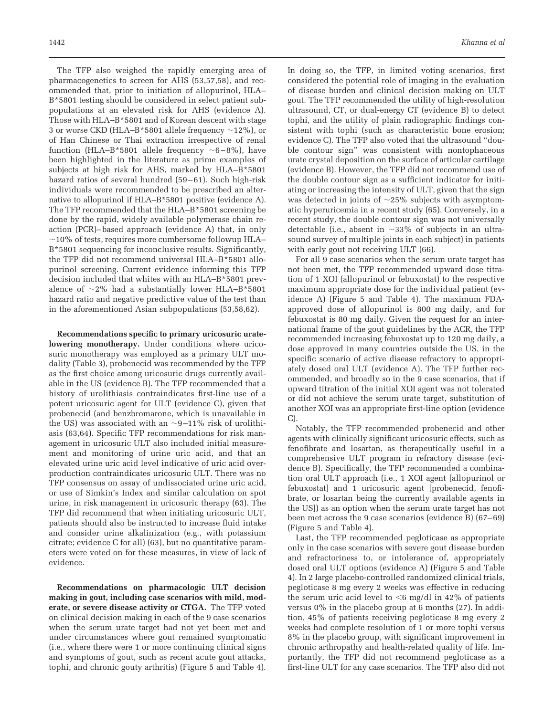The TFP also weighed the rapidly emerging area of pharmacogenetics to screen for AHS (53,57,58), and recommended that, prior to initiation of allopurinol, HLA– B\*5801 testing should be considered in select patient subpopulations at an elevated risk for AHS (evidence A). Those with HLA–B\*5801 and of Korean descent with stage 3 or worse CKD (HLA–B\*5801 allele frequency  $\sim$ 12%), or of Han Chinese or Thai extraction irrespective of renal function (HLA–B\*5801 allele frequency  $\sim$ 6–8%), have been highlighted in the literature as prime examples of subjects at high risk for AHS, marked by HLA–B\*5801 hazard ratios of several hundred (59 – 61). Such high-risk individuals were recommended to be prescribed an alternative to allopurinol if HLA–B\*5801 positive (evidence A). The TFP recommended that the HLA–B\*5801 screening be done by the rapid, widely available polymerase chain reaction (PCR)– based approach (evidence A) that, in only  $\sim$ 10% of tests, requires more cumbersome followup HLA– B\*5801 sequencing for inconclusive results. Significantly, the TFP did not recommend universal HLA–B\*5801 allopurinol screening. Current evidence informing this TFP decision included that whites with an HLA–B\*5801 prevalence of  $\sim$ 2% had a substantially lower HLA–B\*5801 hazard ratio and negative predictive value of the test than in the aforementioned Asian subpopulations (53,58,62).

**Recommendations specific to primary uricosuric uratelowering monotherapy.** Under conditions where uricosuric monotherapy was employed as a primary ULT modality (Table 3), probenecid was recommended by the TFP as the first choice among uricosuric drugs currently available in the US (evidence B). The TFP recommended that a history of urolithiasis contraindicates first-line use of a potent uricosuric agent for ULT (evidence C), given that probenecid (and benzbromarone, which is unavailable in the US) was associated with an  $\sim$ 9-11% risk of urolithiasis (63,64). Specific TFP recommendations for risk management in uricosuric ULT also included initial measurement and monitoring of urine uric acid, and that an elevated urine uric acid level indicative of uric acid overproduction contraindicates uricosuric ULT. There was no TFP consensus on assay of undissociated urine uric acid, or use of Simkin's Index and similar calculation on spot urine, in risk management in uricosuric therapy (63). The TFP did recommend that when initiating uricosuric ULT, patients should also be instructed to increase fluid intake and consider urine alkalinization (e.g., with potassium citrate; evidence C for all) (63), but no quantitative parameters were voted on for these measures, in view of lack of evidence.

**Recommendations on pharmacologic ULT decision making in gout, including case scenarios with mild, moderate, or severe disease activity or CTGA.** The TFP voted on clinical decision making in each of the 9 case scenarios when the serum urate target had not yet been met and under circumstances where gout remained symptomatic (i.e., where there were 1 or more continuing clinical signs and symptoms of gout, such as recent acute gout attacks, tophi, and chronic gouty arthritis) (Figure 5 and Table 4).

In doing so, the TFP, in limited voting scenarios, first considered the potential role of imaging in the evaluation of disease burden and clinical decision making on ULT gout. The TFP recommended the utility of high-resolution ultrasound, CT, or dual-energy CT (evidence B) to detect tophi, and the utility of plain radiographic findings consistent with tophi (such as characteristic bone erosion; evidence C). The TFP also voted that the ultrasound "double contour sign" was consistent with nontophaceous urate crystal deposition on the surface of articular cartilage (evidence B). However, the TFP did not recommend use of the double contour sign as a sufficient indicator for initiating or increasing the intensity of ULT, given that the sign was detected in joints of  $\sim$ 25% subjects with asymptomatic hyperuricemia in a recent study (65). Conversely, in a recent study, the double contour sign was not universally detectable (i.e., absent in  $\sim$ 33% of subjects in an ultrasound survey of multiple joints in each subject) in patients with early gout not receiving ULT (66).

For all 9 case scenarios when the serum urate target has not been met, the TFP recommended upward dose titration of 1 XOI (allopurinol or febuxostat) to the respective maximum appropriate dose for the individual patient (evidence A) (Figure 5 and Table 4). The maximum FDAapproved dose of allopurinol is 800 mg daily, and for febuxostat is 80 mg daily. Given the request for an international frame of the gout guidelines by the ACR, the TFP recommended increasing febuxostat up to 120 mg daily, a dose approved in many countries outside the US, in the specific scenario of active disease refractory to appropriately dosed oral ULT (evidence A). The TFP further recommended, and broadly so in the 9 case scenarios, that if upward titration of the initial XOI agent was not tolerated or did not achieve the serum urate target, substitution of another XOI was an appropriate first-line option (evidence C).

Notably, the TFP recommended probenecid and other agents with clinically significant uricosuric effects, such as fenofibrate and losartan, as therapeutically useful in a comprehensive ULT program in refractory disease (evidence B). Specifically, the TFP recommended a combination oral ULT approach (i.e., 1 XOI agent [allopurinol or febuxostat] and 1 uricosuric agent [probenecid, fenofibrate, or losartan being the currently available agents in the US]) as an option when the serum urate target has not been met across the 9 case scenarios (evidence B) (67–69) (Figure 5 and Table 4).

Last, the TFP recommended pegloticase as appropriate only in the case scenarios with severe gout disease burden and refractoriness to, or intolerance of, appropriately dosed oral ULT options (evidence A) (Figure 5 and Table 4). In 2 large placebo-controlled randomized clinical trials, pegloticase 8 mg every 2 weeks was effective in reducing the serum uric acid level to  $<$ 6 mg/dl in 42% of patients versus 0% in the placebo group at 6 months (27). In addition, 45% of patients receiving pegloticase 8 mg every 2 weeks had complete resolution of 1 or more tophi versus 8% in the placebo group, with significant improvement in chronic arthropathy and health-related quality of life. Importantly, the TFP did not recommend pegloticase as a first-line ULT for any case scenarios. The TFP also did not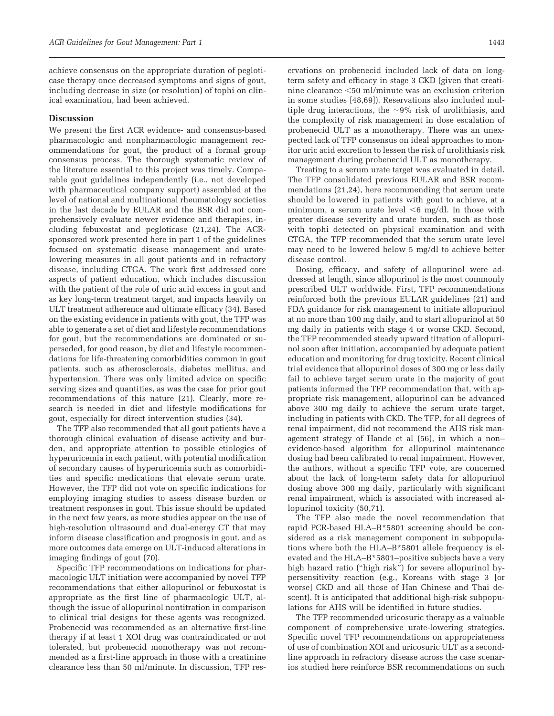achieve consensus on the appropriate duration of pegloticase therapy once decreased symptoms and signs of gout, including decrease in size (or resolution) of tophi on clinical examination, had been achieved.

### **Discussion**

We present the first ACR evidence- and consensus-based pharmacologic and nonpharmacologic management recommendations for gout, the product of a formal group consensus process. The thorough systematic review of the literature essential to this project was timely. Comparable gout guidelines independently (i.e., not developed with pharmaceutical company support) assembled at the level of national and multinational rheumatology societies in the last decade by EULAR and the BSR did not comprehensively evaluate newer evidence and therapies, including febuxostat and pegloticase (21,24). The ACRsponsored work presented here in part 1 of the guidelines focused on systematic disease management and uratelowering measures in all gout patients and in refractory disease, including CTGA. The work first addressed core aspects of patient education, which includes discussion with the patient of the role of uric acid excess in gout and as key long-term treatment target, and impacts heavily on ULT treatment adherence and ultimate efficacy (34). Based on the existing evidence in patients with gout, the TFP was able to generate a set of diet and lifestyle recommendations for gout, but the recommendations are dominated or superseded, for good reason, by diet and lifestyle recommendations for life-threatening comorbidities common in gout patients, such as atherosclerosis, diabetes mellitus, and hypertension. There was only limited advice on specific serving sizes and quantities, as was the case for prior gout recommendations of this nature (21). Clearly, more research is needed in diet and lifestyle modifications for gout, especially for direct intervention studies (34).

The TFP also recommended that all gout patients have a thorough clinical evaluation of disease activity and burden, and appropriate attention to possible etiologies of hyperuricemia in each patient, with potential modification of secondary causes of hyperuricemia such as comorbidities and specific medications that elevate serum urate. However, the TFP did not vote on specific indications for employing imaging studies to assess disease burden or treatment responses in gout. This issue should be updated in the next few years, as more studies appear on the use of high-resolution ultrasound and dual-energy CT that may inform disease classification and prognosis in gout, and as more outcomes data emerge on ULT-induced alterations in imaging findings of gout (70).

Specific TFP recommendations on indications for pharmacologic ULT initiation were accompanied by novel TFP recommendations that either allopurinol or febuxostat is appropriate as the first line of pharmacologic ULT, although the issue of allopurinol nontitration in comparison to clinical trial designs for these agents was recognized. Probenecid was recommended as an alternative first-line therapy if at least 1 XOI drug was contraindicated or not tolerated, but probenecid monotherapy was not recommended as a first-line approach in those with a creatinine clearance less than 50 ml/minute*.* In discussion, TFP res-

ervations on probenecid included lack of data on longterm safety and efficacy in stage 3 CKD (given that creatinine clearance -50 ml/minute was an exclusion criterion in some studies [48,69]). Reservations also included multiple drug interactions, the  $\sim$ 9% risk of urolithiasis, and the complexity of risk management in dose escalation of probenecid ULT as a monotherapy. There was an unexpected lack of TFP consensus on ideal approaches to monitor uric acid excretion to lessen the risk of urolithiasis risk management during probenecid ULT as monotherapy.

Treating to a serum urate target was evaluated in detail. The TFP consolidated previous EULAR and BSR recommendations (21,24), here recommending that serum urate should be lowered in patients with gout to achieve, at a minimum, a serum urate level  $\leq 6$  mg/dl. In those with greater disease severity and urate burden, such as those with tophi detected on physical examination and with CTGA, the TFP recommended that the serum urate level may need to be lowered below 5 mg/dl to achieve better disease control.

Dosing, efficacy, and safety of allopurinol were addressed at length, since allopurinol is the most commonly prescribed ULT worldwide. First, TFP recommendations reinforced both the previous EULAR guidelines (21) and FDA guidance for risk management to initiate allopurinol at no more than 100 mg daily, and to start allopurinol at 50 mg daily in patients with stage 4 or worse CKD. Second, the TFP recommended steady upward titration of allopurinol soon after initiation, accompanied by adequate patient education and monitoring for drug toxicity. Recent clinical trial evidence that allopurinol doses of 300 mg or less daily fail to achieve target serum urate in the majority of gout patients informed the TFP recommendation that, with appropriate risk management, allopurinol can be advanced above 300 mg daily to achieve the serum urate target, including in patients with CKD. The TFP, for all degrees of renal impairment, did not recommend the AHS risk management strategy of Hande et al (56), in which a non– evidence-based algorithm for allopurinol maintenance dosing had been calibrated to renal impairment. However, the authors, without a specific TFP vote, are concerned about the lack of long-term safety data for allopurinol dosing above 300 mg daily, particularly with significant renal impairment, which is associated with increased allopurinol toxicity (50,71).

The TFP also made the novel recommendation that rapid PCR-based HLA–B\*5801 screening should be considered as a risk management component in subpopulations where both the HLA–B\*5801 allele frequency is elevated and the HLA–B\*5801–positive subjects have a very high hazard ratio ("high risk") for severe allopurinol hypersensitivity reaction (e.g., Koreans with stage 3 [or worse] CKD and all those of Han Chinese and Thai descent). It is anticipated that additional high-risk subpopulations for AHS will be identified in future studies.

The TFP recommended uricosuric therapy as a valuable component of comprehensive urate-lowering strategies. Specific novel TFP recommendations on appropriateness of use of combination XOI and uricosuric ULT as a secondline approach in refractory disease across the case scenarios studied here reinforce BSR recommendations on such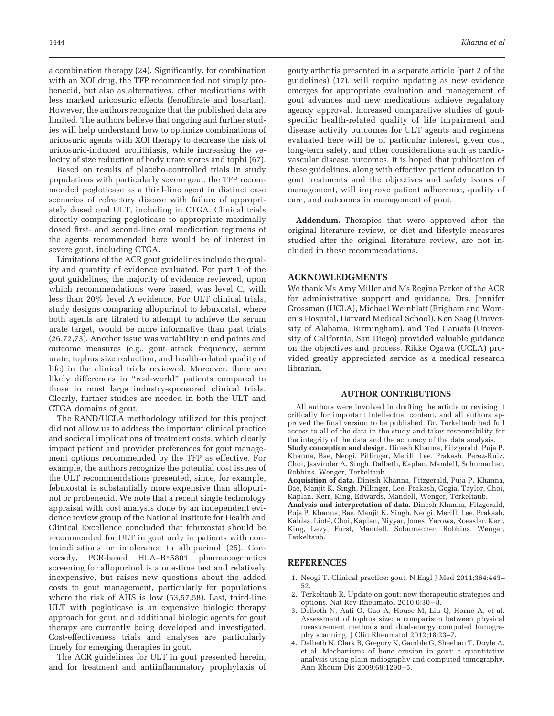a combination therapy (24). Significantly, for combination with an XOI drug, the TFP recommended not simply probenecid, but also as alternatives, other medications with less marked uricosuric effects (fenofibrate and losartan). However, the authors recognize that the published data are limited. The authors believe that ongoing and further studies will help understand how to optimize combinations of uricosuric agents with XOI therapy to decrease the risk of uricosuric-induced urolithiasis, while increasing the velocity of size reduction of body urate stores and tophi (67).

Based on results of placebo-controlled trials in study populations with particularly severe gout, the TFP recommended pegloticase as a third-line agent in distinct case scenarios of refractory disease with failure of appropriately dosed oral ULT, including in CTGA. Clinical trials directly comparing pegloticase to appropriate maximally dosed first- and second-line oral medication regimens of the agents recommended here would be of interest in severe gout, including CTGA.

Limitations of the ACR gout guidelines include the quality and quantity of evidence evaluated. For part 1 of the gout guidelines, the majority of evidence reviewed, upon which recommendations were based, was level C, with less than 20% level A evidence. For ULT clinical trials, study designs comparing allopurinol to febuxostat, where both agents are titrated to attempt to achieve the serum urate target, would be more informative than past trials (26,72,73). Another issue was variability in end points and outcome measures (e.g., gout attack frequency, serum urate, tophus size reduction, and health-related quality of life) in the clinical trials reviewed. Moreover, there are likely differences in "real-world" patients compared to those in most large industry-sponsored clinical trials. Clearly, further studies are needed in both the ULT and CTGA domains of gout.

The RAND/UCLA methodology utilized for this project did not allow us to address the important clinical practice and societal implications of treatment costs, which clearly impact patient and provider preferences for gout management options recommended by the TFP as effective. For example, the authors recognize the potential cost issues of the ULT recommendations presented, since, for example, febuxostat is substantially more expensive than allopurinol or probenecid. We note that a recent single technology appraisal with cost analysis done by an independent evidence review group of the National Institute for Health and Clinical Excellence concluded that febuxostat should be recommended for ULT in gout only in patients with contraindications or intolerance to allopurinol (25). Conversely, PCR-based HLA–B\*5801 pharmacogenetics screening for allopurinol is a one-time test and relatively inexpensive, but raises new questions about the added costs to gout management, particularly for populations where the risk of AHS is low (53,57,58). Last, third-line ULT with pegloticase is an expensive biologic therapy approach for gout, and additional biologic agents for gout therapy are currently being developed and investigated. Cost-effectiveness trials and analyses are particularly timely for emerging therapies in gout.

The ACR guidelines for ULT in gout presented herein, and for treatment and antiinflammatory prophylaxis of

gouty arthritis presented in a separate article (part 2 of the guidelines) (17), will require updating as new evidence emerges for appropriate evaluation and management of gout advances and new medications achieve regulatory agency approval. Increased comparative studies of goutspecific health-related quality of life impairment and disease activity outcomes for ULT agents and regimens evaluated here will be of particular interest, given cost, long-term safety, and other considerations such as cardiovascular disease outcomes. It is hoped that publication of these guidelines, along with effective patient education in gout treatments and the objectives and safety issues of management, will improve patient adherence, quality of care, and outcomes in management of gout.

**Addendum.** Therapies that were approved after the original literature review, or diet and lifestyle measures studied after the original literature review, are not included in these recommendations.

### **ACKNOWLEDGMENTS**

We thank Ms Amy Miller and Ms Regina Parker of the ACR for administrative support and guidance. Drs. Jennifer Grossman (UCLA), Michael Weinblatt (Brigham and Women's Hospital, Harvard Medical School), Ken Saag (University of Alabama, Birmingham), and Ted Ganiats (University of California, San Diego) provided valuable guidance on the objectives and process. Rikke Ogawa (UCLA) provided greatly appreciated service as a medical research librarian.

### **AUTHOR CONTRIBUTIONS**

All authors were involved in drafting the article or revising it critically for important intellectual content, and all authors approved the final version to be published. Dr. Terkeltaub had full access to all of the data in the study and takes responsibility for the integrity of the data and the accuracy of the data analysis.

**Study conception and design.** Dinesh Khanna, Fitzgerald, Puja P. Khanna, Bae, Neogi, Pillinger, Merill, Lee, Prakash, Perez-Ruiz, Choi, Jasvinder A. Singh, Dalbeth, Kaplan, Mandell, Schumacher, Robbins, Wenger, Terkeltaub.

**Acquisition of data.** Dinesh Khanna, Fitzgerald, Puja P. Khanna, Bae, Manjit K. Singh, Pillinger, Lee, Prakash, Gogia, Taylor, Choi, Kaplan, Kerr, King, Edwards, Mandell, Wenger, Terkeltaub.

**Analysis and interpretation of data.** Dinesh Khanna, Fitzgerald, Puja P. Khanna, Bae, Manjit K. Singh, Neogi, Merill, Lee, Prakash, Kaldas, Lioté, Choi, Kaplan, Niyyar, Jones, Yarows, Roessler, Kerr, King, Levy, Furst, Mandell, Schumacher, Robbins, Wenger, Terkeltaub.

### **REFERENCES**

- 1. Neogi T. Clinical practice: gout. N Engl J Med 2011;364:443– 52.
- 2. Terkeltaub R. Update on gout: new therapeutic strategies and options. Nat Rev Rheumatol 2010;6:30-8.
- Dalbeth N, Aati O, Gao A, House M, Liu Q, Horne A, et al. Assessment of tophus size: a comparison between physical measurement methods and dual-energy computed tomography scanning. J Clin Rheumatol 2012;18:23–7.
- 4. Dalbeth N, Clark B, Gregory K, Gamble G, Sheehan T, Doyle A, et al. Mechanisms of bone erosion in gout: a quantitative analysis using plain radiography and computed tomography. Ann Rheum Dis 2009;68:1290 –5.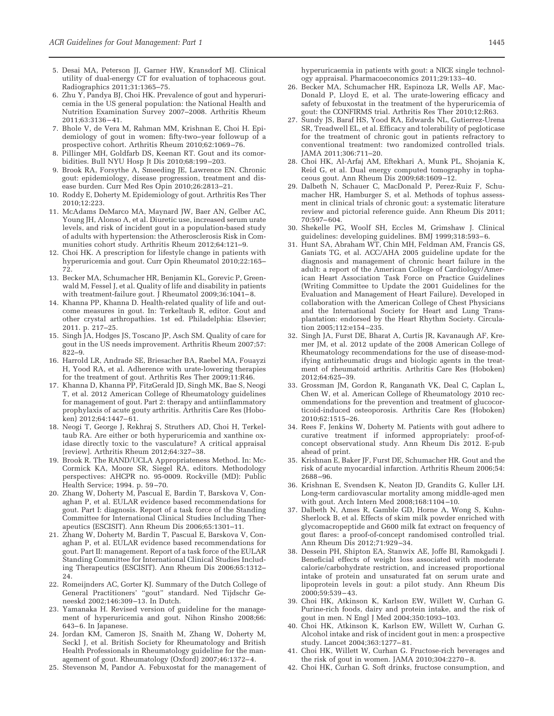- Radiographics 2011;31:1365–75. 6. Zhu Y, Pandya BJ, Choi HK. Prevalence of gout and hyperuricemia in the US general population: the National Health and Nutrition Examination Survey 2007–2008. Arthritis Rheum 2011;63:3136 – 41.
- 7. Bhole V, de Vera M, Rahman MM, Krishnan E, Choi H. Epidemiology of gout in women: fifty-two–year followup of a prospective cohort. Arthritis Rheum 2010;62:1069 –76.
- 8. Pillinger MH, Goldfarb DS, Keenan RT. Gout and its comorbidities. Bull NYU Hosp Jt Dis 2010;68:199 –203.
- 9. Brook RA, Forsythe A, Smeeding JE, Lawrence EN. Chronic gout: epidemiology, disease progression, treatment and disease burden. Curr Med Res Opin 2010;26:2813–21.
- 10. Roddy E, Doherty M. Epidemiology of gout. Arthritis Res Ther 2010;12:223.
- 11. McAdams DeMarco MA, Maynard JW, Baer AN, Gelber AC, Young JH, Alonso A, et al. Diuretic use, increased serum urate levels, and risk of incident gout in a population-based study of adults with hypertension: the Atherosclerosis Risk in Communities cohort study. Arthritis Rheum 2012;64:121–9.
- 12. Choi HK. A prescription for lifestyle change in patients with hyperuricemia and gout. Curr Opin Rheumatol 2010;22:165– 72.
- 13. Becker MA, Schumacher HR, Benjamin KL, Gorevic P, Greenwald M, Fessel J, et al. Quality of life and disability in patients with treatment-failure gout. J Rheumatol 2009;36:1041-8.
- 14. Khanna PP, Khanna D. Health-related quality of life and outcome measures in gout. In: Terkeltaub R, editor. Gout and other crystal arthropathies. 1st ed. Philadelphia: Elsevier; 2011. p. 217–25.
- 15. Singh JA, Hodges JS, Toscano JP, Asch SM. Quality of care for gout in the US needs improvement. Arthritis Rheum 2007;57: 822–9.
- 16. Harrold LR, Andrade SE, Briesacher BA, Raebel MA, Fouayzi H, Yood RA, et al. Adherence with urate-lowering therapies for the treatment of gout. Arthritis Res Ther 2009;11:R46.
- 17. Khanna D, Khanna PP, FitzGerald JD, Singh MK, Bae S, Neogi T, et al. 2012 American College of Rheumatology guidelines for management of gout. Part 2: therapy and antiinflammatory prophylaxis of acute gouty arthritis. Arthritis Care Res (Hoboken) 2012;64:1447– 61.
- 18. Neogi T, George J, Rekhraj S, Struthers AD, Choi H, Terkeltaub RA. Are either or both hyperuricemia and xanthine oxidase directly toxic to the vasculature? A critical appraisal [review]. Arthritis Rheum 2012;64:327–38.
- 19. Brook R. The RAND/UCLA Appropriateness Method. In: Mc-Cormick KA, Moore SR, Siegel RA, editors. Methodology perspectives: AHCPR no. 95-0009. Rockville (MD): Public Health Service; 1994. p. 59 –70.
- 20. Zhang W, Doherty M, Pascual E, Bardin T, Barskova V, Conaghan P, et al. EULAR evidence based recommendations for gout. Part I: diagnosis. Report of a task force of the Standing Committee for International Clinical Studies Including Therapeutics (ESCISIT). Ann Rheum Dis 2006;65:1301–11.
- 21. Zhang W, Doherty M, Bardin T, Pascual E, Barskova V, Conaghan P, et al. EULAR evidence based recommendations for gout. Part II: management. Report of a task force of the EULAR Standing Committee for International Clinical Studies Including Therapeutics (ESCISIT). Ann Rheum Dis 2006;65:1312– 24.
- 22. Romeijnders AC, Gorter KJ. Summary of the Dutch College of General Practitioners' "gout" standard. Ned Tijdschr Geneeskd 2002;146:309 –13. In Dutch.
- 23. Yamanaka H. Revised version of guideline for the management of hyperuricemia and gout. Nihon Rinsho 2008;66: 643– 6. In Japanese.
- 24. Jordan KM, Cameron JS, Snaith M, Zhang W, Doherty M, Seckl J, et al. British Society for Rheumatology and British Health Professionals in Rheumatology guideline for the management of gout. Rheumatology (Oxford) 2007;46:1372– 4.
- 25. Stevenson M, Pandor A. Febuxostat for the management of

hyperuricaemia in patients with gout: a NICE single technology appraisal. Pharmacoeconomics 2011;29:133– 40.

- 26. Becker MA, Schumacher HR, Espinoza LR, Wells AF, Mac-Donald P, Lloyd E, et al. The urate-lowering efficacy and safety of febuxostat in the treatment of the hyperuricemia of gout: the CONFIRMS trial. Arthritis Res Ther 2010;12:R63.
- 27. Sundy JS, Baraf HS, Yood RA, Edwards NL, Gutierrez-Urena SR, Treadwell EL, et al. Efficacy and tolerability of pegloticase for the treatment of chronic gout in patients refractory to conventional treatment: two randomized controlled trials. JAMA 2011;306:711–20.
- 28. Choi HK, Al-Arfaj AM, Eftekhari A, Munk PL, Shojania K, Reid G, et al. Dual energy computed tomography in tophaceous gout. Ann Rheum Dis 2009;68:1609 –12.
- 29. Dalbeth N, Schauer C, MacDonald P, Perez-Ruiz F, Schumacher HR, Hamburger S, et al. Methods of tophus assessment in clinical trials of chronic gout: a systematic literature review and pictorial reference guide. Ann Rheum Dis 2011; 70:597– 604.
- 30. Shekelle PG, Woolf SH, Eccles M, Grimshaw J. Clinical guidelines: developing guidelines. BMJ 1999;318:593– 6.
- 31. Hunt SA, Abraham WT, Chin MH, Feldman AM, Francis GS, Ganiats TG, et al. ACC/AHA 2005 guideline update for the diagnosis and management of chronic heart failure in the adult: a report of the American College of Cardiology/American Heart Association Task Force on Practice Guidelines (Writing Committee to Update the 2001 Guidelines for the Evaluation and Management of Heart Failure). Developed in collaboration with the American College of Chest Physicians and the International Society for Heart and Lung Transplantation: endorsed by the Heart Rhythm Society. Circulation 2005;112:e154 –235.
- 32. Singh JA, Furst DE, Bharat A, Curtis JR, Kavanaugh AF, Kremer JM, et al. 2012 update of the 2008 American College of Rheumatology recommendations for the use of disease-modifying antirheumatic drugs and biologic agents in the treatment of rheumatoid arthritis. Arthritis Care Res (Hoboken) 2012;64:625–39.
- 33. Grossman JM, Gordon R, Ranganath VK, Deal C, Caplan L, Chen W, et al. American College of Rheumatology 2010 recommendations for the prevention and treatment of glucocorticoid-induced osteoporosis. Arthritis Care Res (Hoboken) 2010;62:1515–26.
- 34. Rees F, Jenkins W, Doherty M. Patients with gout adhere to curative treatment if informed appropriately: proof-ofconcept observational study. Ann Rheum Dis 2012. E-pub ahead of print.
- 35. Krishnan E, Baker JF, Furst DE, Schumacher HR. Gout and the risk of acute myocardial infarction. Arthritis Rheum 2006;54: 2688 –96.
- 36. Krishnan E, Svendsen K, Neaton JD, Grandits G, Kuller LH. Long-term cardiovascular mortality among middle-aged men with gout. Arch Intern Med 2008;168:1104 –10.
- 37. Dalbeth N, Ames R, Gamble GD, Horne A, Wong S, Kuhn-Sherlock B, et al. Effects of skim milk powder enriched with glycomacropeptide and G600 milk fat extract on frequency of gout flares: a proof-of-concept randomised controlled trial. Ann Rheum Dis 2012;71:929 –34.
- 38. Dessein PH, Shipton EA, Stanwix AE, Joffe BI, Ramokgadi J. Beneficial effects of weight loss associated with moderate calorie/carbohydrate restriction, and increased proportional intake of protein and unsaturated fat on serum urate and lipoprotein levels in gout: a pilot study. Ann Rheum Dis 2000;59:539 – 43.
- 39. Choi HK, Atkinson K, Karlson EW, Willett W, Curhan G. Purine-rich foods, dairy and protein intake, and the risk of gout in men. N Engl J Med 2004;350:1093–103.
- 40. Choi HK, Atkinson K, Karlson EW, Willett W, Curhan G. Alcohol intake and risk of incident gout in men: a prospective study. Lancet 2004;363:1277– 81.
- 41. Choi HK, Willett W, Curhan G. Fructose-rich beverages and the risk of gout in women. JAMA 2010;304:2270-8.
- 42. Choi HK, Curhan G. Soft drinks, fructose consumption, and